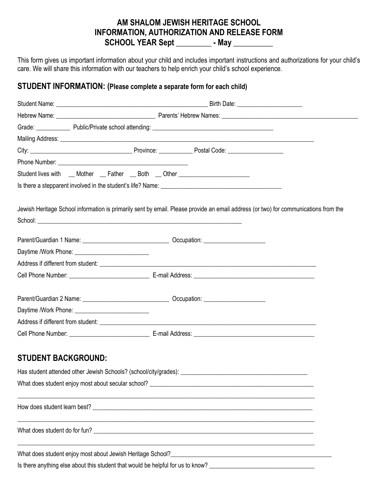#### **AM SHALOM JEWISH HERITAGE SCHOOL INFORMATION, AUTHORIZATION AND RELEASE FORM SCHOOL YEAR Sept \_\_\_\_\_\_\_\_\_ - May \_\_\_\_\_\_\_\_\_\_**

This form gives us important information about your child and includes important instructions and authorizations for your child's care. We will share this information with our teachers to help enrich your child's school experience.

#### **STUDENT INFORMATION: (Please complete a separate form for each child)**

| Student lives with __ Mother __ Father __ Both __ Other ________________________ |  |                                                                                                                                     |  |
|----------------------------------------------------------------------------------|--|-------------------------------------------------------------------------------------------------------------------------------------|--|
|                                                                                  |  |                                                                                                                                     |  |
|                                                                                  |  | Jewish Heritage School information is primarily sent by email. Please provide an email address (or two) for communications from the |  |
|                                                                                  |  |                                                                                                                                     |  |
|                                                                                  |  |                                                                                                                                     |  |
|                                                                                  |  |                                                                                                                                     |  |
|                                                                                  |  |                                                                                                                                     |  |
|                                                                                  |  |                                                                                                                                     |  |
|                                                                                  |  |                                                                                                                                     |  |
|                                                                                  |  |                                                                                                                                     |  |
|                                                                                  |  |                                                                                                                                     |  |
| <b>STUDENT BACKGROUND:</b>                                                       |  |                                                                                                                                     |  |
| Has student attended other Jewish Schools? (school/city/grades):                 |  |                                                                                                                                     |  |
|                                                                                  |  |                                                                                                                                     |  |
|                                                                                  |  |                                                                                                                                     |  |
|                                                                                  |  |                                                                                                                                     |  |
|                                                                                  |  |                                                                                                                                     |  |
|                                                                                  |  | Is there anything else about this student that would be helpful for us to know? _______________________________                     |  |